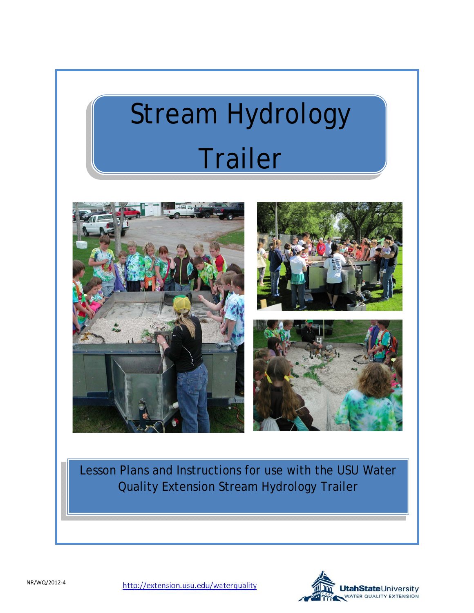# Stream Hydrology Trailer



Lesson Plans and Instructions for use with the USU Water Quality Extension Stream Hydrology Trailer

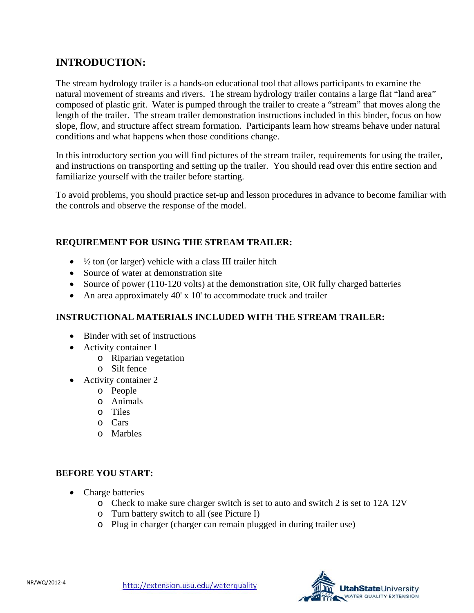## **INTRODUCTION:**

The stream hydrology trailer is a hands-on educational tool that allows participants to examine the natural movement of streams and rivers. The stream hydrology trailer contains a large flat "land area" composed of plastic grit. Water is pumped through the trailer to create a "stream" that moves along the length of the trailer. The stream trailer demonstration instructions included in this binder, focus on how slope, flow, and structure affect stream formation. Participants learn how streams behave under natural conditions and what happens when those conditions change.

In this introductory section you will find pictures of the stream trailer, requirements for using the trailer, and instructions on transporting and setting up the trailer. You should read over this entire section and familiarize yourself with the trailer before starting.

To avoid problems, you should practice set-up and lesson procedures in advance to become familiar with the controls and observe the response of the model.

## **REQUIREMENT FOR USING THE STREAM TRAILER:**

- $\bullet$   $\frac{1}{2}$  ton (or larger) vehicle with a class III trailer hitch
- Source of water at demonstration site
- Source of power (110-120 volts) at the demonstration site, OR fully charged batteries
- An area approximately 40' x 10' to accommodate truck and trailer

## **INSTRUCTIONAL MATERIALS INCLUDED WITH THE STREAM TRAILER:**

- Binder with set of instructions
- Activity container 1
	- o Riparian vegetation
	- o Silt fence
- Activity container 2
	- o People
	- o Animals
	- o Tiles
	- o Cars
	- o Marbles

## **BEFORE YOU START:**

- Charge batteries
	- o Check to make sure charger switch is set to auto and switch 2 is set to 12A 12V
	- o Turn battery switch to all (see Picture I)
	- o Plug in charger (charger can remain plugged in during trailer use)

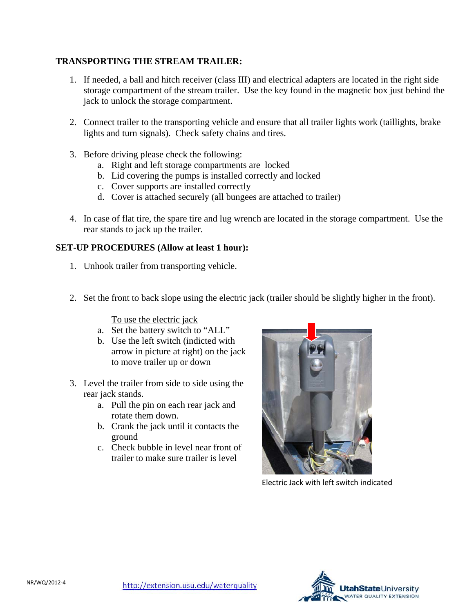### **TRANSPORTING THE STREAM TRAILER:**

- 1. If needed, a ball and hitch receiver (class III) and electrical adapters are located in the right side storage compartment of the stream trailer. Use the key found in the magnetic box just behind the jack to unlock the storage compartment.
- 2. Connect trailer to the transporting vehicle and ensure that all trailer lights work (taillights, brake lights and turn signals). Check safety chains and tires.
- 3. Before driving please check the following:
	- a. Right and left storage compartments are locked
	- b. Lid covering the pumps is installed correctly and locked
	- c. Cover supports are installed correctly
	- d. Cover is attached securely (all bungees are attached to trailer)
- 4. In case of flat tire, the spare tire and lug wrench are located in the storage compartment. Use the rear stands to jack up the trailer.

### **SET-UP PROCEDURES (Allow at least 1 hour):**

- 1. Unhook trailer from transporting vehicle.
- 2. Set the front to back slope using the electric jack (trailer should be slightly higher in the front).

To use the electric jack

- a. Set the battery switch to "ALL"
- b. Use the left switch (indicted with arrow in picture at right) on the jack to move trailer up or down
- 3. Level the trailer from side to side using the rear jack stands.
	- a. Pull the pin on each rear jack and rotate them down.
	- b. Crank the jack until it contacts the ground
	- c. Check bubble in level near front of trailer to make sure trailer is level



Electric Jack with left switch indicated

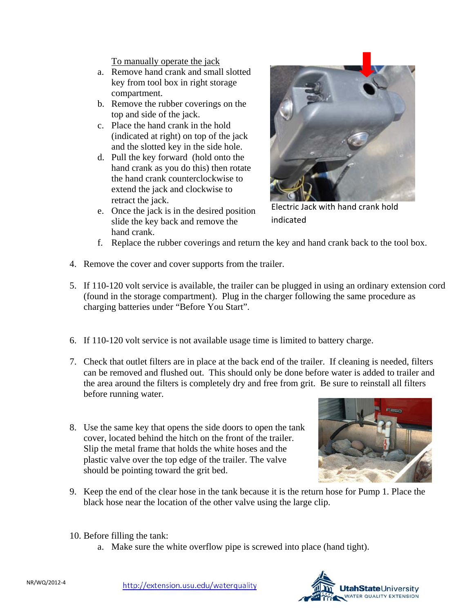To manually operate the jack

- a. Remove hand crank and small slotted key from tool box in right storage compartment.
- b. Remove the rubber coverings on the top and side of the jack.
- c. Place the hand crank in the hold (indicated at right) on top of the jack and the slotted key in the side hole.
- d. Pull the key forward (hold onto the hand crank as you do this) then rotate the hand crank counterclockwise to extend the jack and clockwise to retract the jack.
- e. Once the jack is in the desired position slide the key back and remove the hand crank.



Electric Jack with hand crank hold indicated

- f. Replace the rubber coverings and return the key and hand crank back to the tool box.
- 4. Remove the cover and cover supports from the trailer.
- 5. If 110-120 volt service is available, the trailer can be plugged in using an ordinary extension cord (found in the storage compartment). Plug in the charger following the same procedure as charging batteries under "Before You Start".
- 6. If 110-120 volt service is not available usage time is limited to battery charge.
- 7. Check that outlet filters are in place at the back end of the trailer. If cleaning is needed, filters can be removed and flushed out. This should only be done before water is added to trailer and the area around the filters is completely dry and free from grit. Be sure to reinstall all filters before running water.
- 8. Use the same key that opens the side doors to open the tank cover, located behind the hitch on the front of the trailer. Slip the metal frame that holds the white hoses and the plastic valve over the top edge of the trailer. The valve should be pointing toward the grit bed.



- 9. Keep the end of the clear hose in the tank because it is the return hose for Pump 1. Place the black hose near the location of the other valve using the large clip.
- 10. Before filling the tank:
	- a. Make sure the white overflow pipe is screwed into place (hand tight).

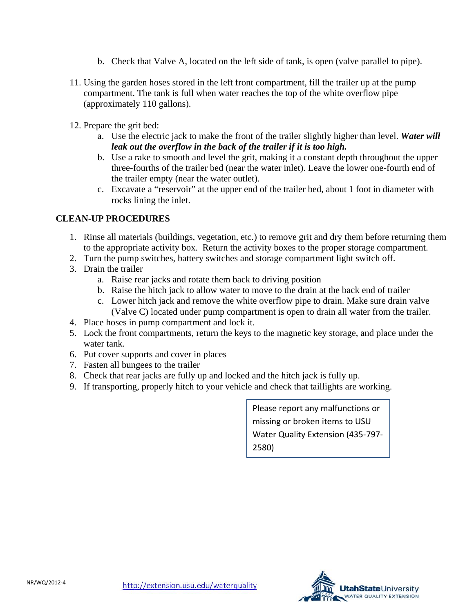- b. Check that Valve A, located on the left side of tank, is open (valve parallel to pipe).
- 11. Using the garden hoses stored in the left front compartment, fill the trailer up at the pump compartment. The tank is full when water reaches the top of the white overflow pipe (approximately 110 gallons).
- 12. Prepare the grit bed:
	- a. Use the electric jack to make the front of the trailer slightly higher than level. *Water will leak out the overflow in the back of the trailer if it is too high.*
	- b. Use a rake to smooth and level the grit, making it a constant depth throughout the upper three-fourths of the trailer bed (near the water inlet). Leave the lower one-fourth end of the trailer empty (near the water outlet).
	- c. Excavate a "reservoir" at the upper end of the trailer bed, about 1 foot in diameter with rocks lining the inlet.

### **CLEAN-UP PROCEDURES**

- 1. Rinse all materials (buildings, vegetation, etc.) to remove grit and dry them before returning them to the appropriate activity box. Return the activity boxes to the proper storage compartment.
- 2. Turn the pump switches, battery switches and storage compartment light switch off.
- 3. Drain the trailer
	- a. Raise rear jacks and rotate them back to driving position
	- b. Raise the hitch jack to allow water to move to the drain at the back end of trailer
	- c. Lower hitch jack and remove the white overflow pipe to drain. Make sure drain valve (Valve C) located under pump compartment is open to drain all water from the trailer.
- 4. Place hoses in pump compartment and lock it.
- 5. Lock the front compartments, return the keys to the magnetic key storage, and place under the water tank.
- 6. Put cover supports and cover in places
- 7. Fasten all bungees to the trailer
- 8. Check that rear jacks are fully up and locked and the hitch jack is fully up.
- 9. If transporting, properly hitch to your vehicle and check that taillights are working.

Please report any malfunctions or missing or broken items to USU Water Quality Extension (435‐797‐ 2580)

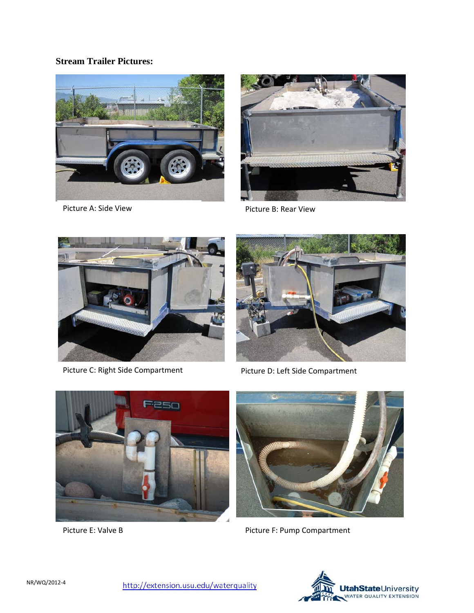## **Stream Trailer Pictures:**





Picture A: Side View **Picture B: Rear View** Picture B: Rear View



Picture C: Right Side Compartment Picture D: Left Side Compartment







Picture E: Valve B **Picture F: Pump Compartment** 

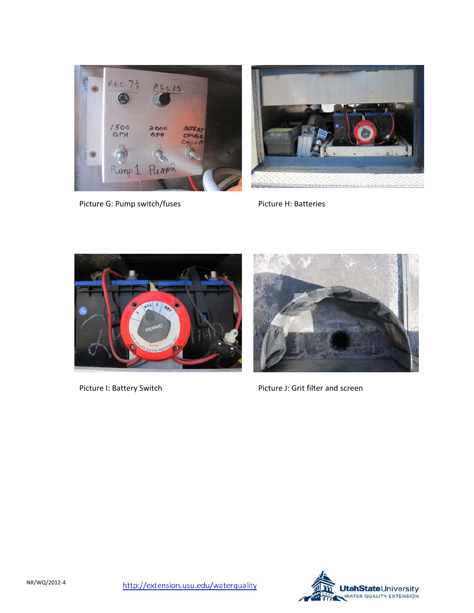



Picture G: Pump switch/fuses Picture H: Batteries





Picture I: Battery Switch Picture J: Grit filter and screen

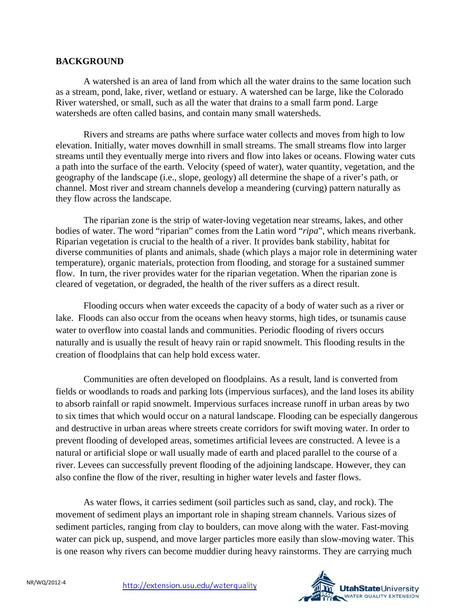#### **BACKGROUND**

A watershed is an area of land from which all the water drains to the same location such as a stream, pond, lake, river, wetland or estuary. A watershed can be large, like the Colorado River watershed, or small, such as all the water that drains to a small farm pond. Large watersheds are often called basins, and contain many small watersheds.

Rivers and streams are paths where surface water collects and moves from high to low elevation. Initially, water moves downhill in small streams. The small streams flow into larger streams until they eventually merge into rivers and flow into lakes or oceans. Flowing water cuts a path into the surface of the earth. Velocity (speed of water), water quantity, vegetation, and the geography of the landscape (i.e., slope, geology) all determine the shape of a river's path, or channel. Most river and stream channels develop a meandering (curving) pattern naturally as they flow across the landscape.

The riparian zone is the strip of water-loving vegetation near streams, lakes, and other bodies of water. The word "riparian" comes from the Latin word "*ripa*", which means riverbank. Riparian vegetation is crucial to the health of a river. It provides bank stability, habitat for diverse communities of plants and animals, shade (which plays a major role in determining water temperature), organic materials, protection from flooding, and storage for a sustained summer flow. In turn, the river provides water for the riparian vegetation. When the riparian zone is cleared of vegetation, or degraded, the health of the river suffers as a direct result.

Flooding occurs when water exceeds the capacity of a body of water such as a river or lake. Floods can also occur from the oceans when heavy storms, high tides, or tsunamis cause water to overflow into coastal lands and communities. Periodic flooding of rivers occurs naturally and is usually the result of heavy rain or rapid snowmelt. This flooding results in the creation of floodplains that can help hold excess water.

Communities are often developed on floodplains. As a result, land is converted from fields or woodlands to roads and parking lots (impervious surfaces), and the land loses its ability to absorb rainfall or rapid snowmelt. Impervious surfaces increase runoff in urban areas by two to six times that which would occur on a natural landscape. Flooding can be especially dangerous and destructive in urban areas where streets create corridors for swift moving water. In order to prevent flooding of developed areas, sometimes artificial levees are constructed. A levee is a natural or artificial slope or wall usually made of earth and placed parallel to the course of a river. Levees can successfully prevent flooding of the adjoining landscape. However, they can also confine the flow of the river, resulting in higher water levels and faster flows.

As water flows, it carries sediment (soil particles such as sand, clay, and rock). The movement of sediment plays an important role in shaping stream channels. Various sizes of sediment particles, ranging from clay to boulders, can move along with the water. Fast-moving water can pick up, suspend, and move larger particles more easily than slow-moving water. This is one reason why rivers can become muddier during heavy rainstorms. They are carrying much

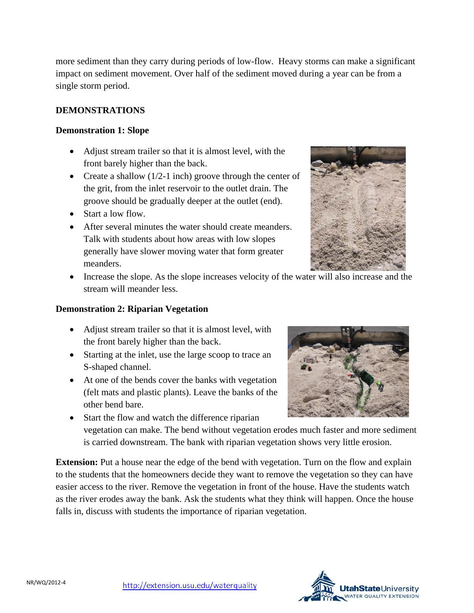more sediment than they carry during periods of low-flow. Heavy storms can make a significant impact on sediment movement. Over half of the sediment moved during a year can be from a single storm period.

## **DEMONSTRATIONS**

## **Demonstration 1: Slope**

- Adjust stream trailer so that it is almost level, with the front barely higher than the back.
- Create a shallow  $(1/2-1)$  inch groove through the center of the grit, from the inlet reservoir to the outlet drain. The groove should be gradually deeper at the outlet (end).
- Start a low flow.
- After several minutes the water should create meanders. Talk with students about how areas with low slopes generally have slower moving water that form greater meanders.



• Increase the slope. As the slope increases velocity of the water will also increase and the stream will meander less.

## **Demonstration 2: Riparian Vegetation**

- Adjust stream trailer so that it is almost level, with the front barely higher than the back.
- Starting at the inlet, use the large scoop to trace an S-shaped channel.
- At one of the bends cover the banks with vegetation (felt mats and plastic plants). Leave the banks of the other bend bare.



• Start the flow and watch the difference riparian vegetation can make. The bend without vegetation erodes much faster and more sediment is carried downstream. The bank with riparian vegetation shows very little erosion.

**Extension:** Put a house near the edge of the bend with vegetation. Turn on the flow and explain to the students that the homeowners decide they want to remove the vegetation so they can have easier access to the river. Remove the vegetation in front of the house. Have the students watch as the river erodes away the bank. Ask the students what they think will happen. Once the house falls in, discuss with students the importance of riparian vegetation.

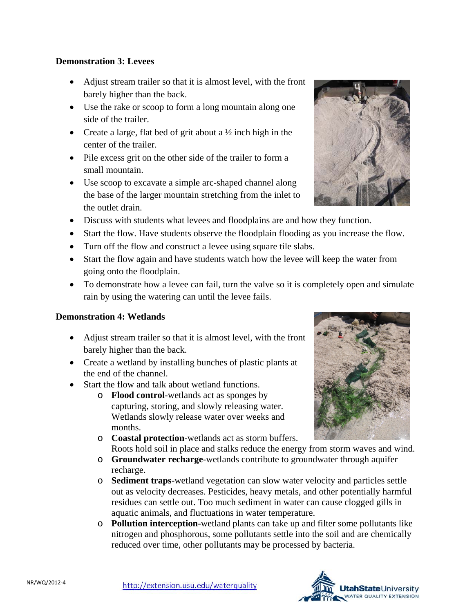## **Demonstration 3: Levees**

- Adjust stream trailer so that it is almost level, with the front barely higher than the back.
- Use the rake or scoop to form a long mountain along one side of the trailer.
- Create a large, flat bed of grit about a  $\frac{1}{2}$  inch high in the center of the trailer.
- Pile excess grit on the other side of the trailer to form a small mountain.
- Use scoop to excavate a simple arc-shaped channel along the base of the larger mountain stretching from the inlet to the outlet drain.
- Discuss with students what levees and floodplains are and how they function.
- Start the flow. Have students observe the floodplain flooding as you increase the flow.
- Turn off the flow and construct a levee using square tile slabs.
- Start the flow again and have students watch how the levee will keep the water from going onto the floodplain.
- To demonstrate how a levee can fail, turn the valve so it is completely open and simulate rain by using the watering can until the levee fails.

## **Demonstration 4: Wetlands**

- Adjust stream trailer so that it is almost level, with the front barely higher than the back.
- Create a wetland by installing bunches of plastic plants at the end of the channel.
- Start the flow and talk about wetland functions.
	- o **Flood control**-wetlands act as sponges by capturing, storing, and slowly releasing water. Wetlands slowly release water over weeks and months.
	- o **Coastal protection**-wetlands act as storm buffers. Roots hold soil in place and stalks reduce the energy from storm waves and wind.
	- o **Groundwater recharge**-wetlands contribute to groundwater through aquifer recharge.
	- o **Sediment traps**-wetland vegetation can slow water velocity and particles settle out as velocity decreases. Pesticides, heavy metals, and other potentially harmful residues can settle out. Too much sediment in water can cause clogged gills in aquatic animals, and fluctuations in water temperature.
	- o **Pollution interception**-wetland plants can take up and filter some pollutants like nitrogen and phosphorous, some pollutants settle into the soil and are chemically reduced over time, other pollutants may be processed by bacteria.